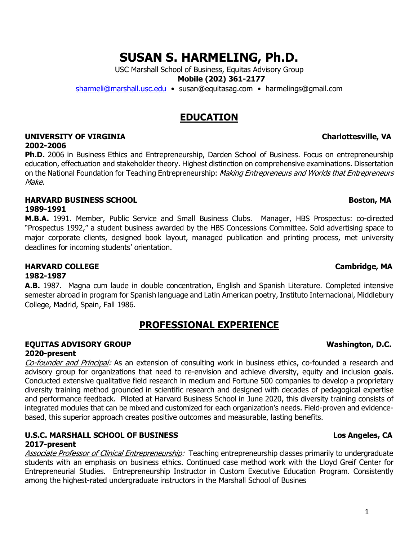1

# **SUSAN S. HARMELING, Ph.D.**

USC Marshall School of Business, Equitas Advisory Group

**Mobile (202) 361-2177**

sharmeli@marshall.usc.edu • susan@equitasag.com • harmelings@gmail.com

# **EDUCATION**

### **UNIVERSITY OF VIRGINIA Charlottesville, VA 2002-2006**

**Ph.D.** 2006 in Business Ethics and Entrepreneurship, Darden School of Business. Focus on entrepreneurship education, effectuation and stakeholder theory. Highest distinction on comprehensive examinations. Dissertation on the National Foundation for Teaching Entrepreneurship: Making Entrepreneurs and Worlds that Entrepreneurs Make.

## **HARVARD BUSINESS SCHOOL Boston, MA**

## **1989-1991**

**M.B.A.** 1991. Member, Public Service and Small Business Clubs. Manager, HBS Prospectus: co-directed "Prospectus 1992," a student business awarded by the HBS Concessions Committee. Sold advertising space to major corporate clients, designed book layout, managed publication and printing process, met university deadlines for incoming students' orientation.

## **HARVARD COLLEGE CAMBRIDGE CAMBRIDGE CAMBRIDGE CAMBRIDGE CAMBRIDGE, MA**

## **1982-1987**

**A.B.** 1987. Magna cum laude in double concentration, English and Spanish Literature. Completed intensive semester abroad in program for Spanish language and Latin American poetry, Instituto Internacional, Middlebury College, Madrid, Spain, Fall 1986.

# **PROFESSIONAL EXPERIENCE**

## **EQUITAS ADVISORY GROUP Washington, D.C. 2020-present**

Co-founder and Principal: As an extension of consulting work in business ethics, co-founded a research and advisory group for organizations that need to re-envision and achieve diversity, equity and inclusion goals. Conducted extensive qualitative field research in medium and Fortune 500 companies to develop a proprietary diversity training method grounded in scientific research and designed with decades of pedagogical expertise and performance feedback. Piloted at Harvard Business School in June 2020, this diversity training consists of integrated modules that can be mixed and customized for each organization's needs. Field-proven and evidencebased, this superior approach creates positive outcomes and measurable, lasting benefits.

## **U.S.C. MARSHALL SCHOOL OF BUSINESS Los Angeles, CA 2017-present**

Associate Professor of Clinical Entrepreneurship: Teaching entrepreneurship classes primarily to undergraduate students with an emphasis on business ethics. Continued case method work with the Lloyd Greif Center for Entrepreneurial Studies. Entrepreneurship Instructor in Custom Executive Education Program. Consistently among the highest-rated undergraduate instructors in the Marshall School of Busines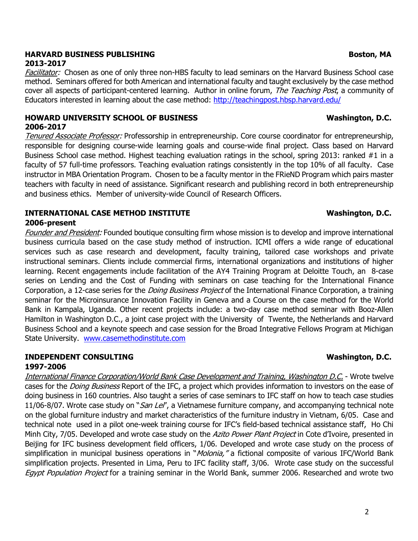## **HARVARD BUSINESS PUBLISHING Boston, MA 2013-2017**

Facilitator: Chosen as one of only three non-HBS faculty to lead seminars on the Harvard Business School case method. Seminars offered for both American and international faculty and taught exclusively by the case method cover all aspects of participant-centered learning. Author in online forum, The Teaching Post, a community of Educators interested in learning about the case method: http://teachingpost.hbsp.harvard.edu/

## **HOWARD UNIVERSITY SCHOOL OF BUSINESS Washington, D.C. 2006-2017**

Tenured Associate Professor: Professorship in entrepreneurship. Core course coordinator for entrepreneurship, responsible for designing course-wide learning goals and course-wide final project. Class based on Harvard Business School case method. Highest teaching evaluation ratings in the school, spring 2013: ranked #1 in a faculty of 57 full-time professors. Teaching evaluation ratings consistently in the top 10% of all faculty. Case instructor in MBA Orientation Program. Chosen to be a faculty mentor in the FRieND Program which pairs master teachers with faculty in need of assistance. Significant research and publishing record in both entrepreneurship and business ethics. Member of university-wide Council of Research Officers.

### **INTERNATIONAL CASE METHOD INSTITUTE WASHINGTON, D.C. 2006-present**

Founder and President: Founded boutique consulting firm whose mission is to develop and improve international business curricula based on the case study method of instruction. ICMI offers a wide range of educational services such as case research and development, faculty training, tailored case workshops and private instructional seminars. Clients include commercial firms, international organizations and institutions of higher learning. Recent engagements include facilitation of the AY4 Training Program at Deloitte Touch, an 8-case series on Lending and the Cost of Funding with seminars on case teaching for the International Finance Corporation, a 12-case series for the *Doing Business Project* of the International Finance Corporation, a training seminar for the Microinsurance Innovation Facility in Geneva and a Course on the case method for the World Bank in Kampala, Uganda. Other recent projects include: a two-day case method seminar with Booz-Allen Hamilton in Washington D.C., a joint case project with the University of Twente, the Netherlands and Harvard Business School and a keynote speech and case session for the Broad Integrative Fellows Program at Michigan State University. www.casemethodinstitute.com

### **INDEPENDENT CONSULTING WASHING WASHING WASHING WASHING WASHING WASHING WASHING WASHING WASHING WASHING WASHING WASHING WASHING WASHING WASHING WASHING WASHING WASHING WASHING WASHING WASHING WASHING WASHING WASHING WASHIN 1997-2006**

International Finance Corporation/World Bank Case Development and Training, Washington D.C. - Wrote twelve cases for the *Doing Business* Report of the IFC, a project which provides information to investors on the ease of doing business in 160 countries. Also taught a series of case seminars to IFC staff on how to teach case studies 11/06-8/07. Wrote case study on "San Lel', a Vietnamese furniture company, and accompanying technical note on the global furniture industry and market characteristics of the furniture industry in Vietnam, 6/05. Case and technical note used in a pilot one-week training course for IFC's field-based technical assistance staff, Ho Chi Minh City, 7/05. Developed and wrote case study on the Azito Power Plant Project in Cote d'Ivoire, presented in Beijing for IFC business development field officers, 1/06. Developed and wrote case study on the process of simplification in municipal business operations in "*Molonia,"* a fictional composite of various IFC/World Bank simplification projects. Presented in Lima, Peru to IFC facility staff, 3/06. Wrote case study on the successful Egypt Population Project for a training seminar in the World Bank, summer 2006. Researched and wrote two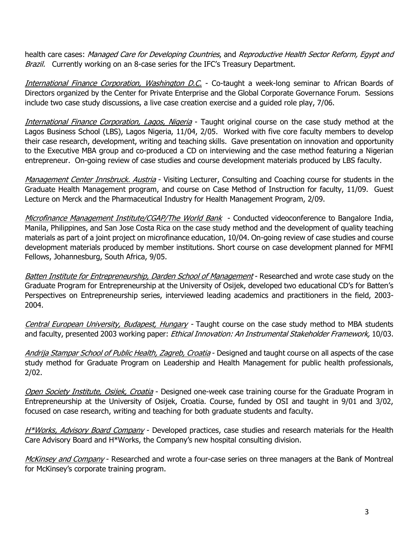health care cases: Managed Care for Developing Countries, and Reproductive Health Sector Reform, Egypt and Brazil. Currently working on an 8-case series for the IFC's Treasury Department.

International Finance Corporation, Washington D.C. - Co-taught a week-long seminar to African Boards of Directors organized by the Center for Private Enterprise and the Global Corporate Governance Forum. Sessions include two case study discussions, a live case creation exercise and a guided role play, 7/06.

International Finance Corporation, Lagos, Nigeria - Taught original course on the case study method at the Lagos Business School (LBS), Lagos Nigeria, 11/04, 2/05. Worked with five core faculty members to develop their case research, development, writing and teaching skills. Gave presentation on innovation and opportunity to the Executive MBA group and co-produced a CD on interviewing and the case method featuring a Nigerian entrepreneur. On-going review of case studies and course development materials produced by LBS faculty.

Management Center Innsbruck. Austria - Visiting Lecturer, Consulting and Coaching course for students in the Graduate Health Management program, and course on Case Method of Instruction for faculty, 11/09. Guest Lecture on Merck and the Pharmaceutical Industry for Health Management Program, 2/09.

Microfinance Management Institute/CGAP/The World Bank - Conducted videoconference to Bangalore India, Manila, Philippines, and San Jose Costa Rica on the case study method and the development of quality teaching materials as part of a joint project on microfinance education, 10/04. On-going review of case studies and course development materials produced by member institutions. Short course on case development planned for MFMI Fellows, Johannesburg, South Africa, 9/05.

Batten Institute for Entrepreneurship, Darden School of Management - Researched and wrote case study on the Graduate Program for Entrepreneurship at the University of Osijek, developed two educational CD's for Batten's Perspectives on Entrepreneurship series, interviewed leading academics and practitioners in the field, 2003- 2004.

Central European University, Budapest, Hungary - Taught course on the case study method to MBA students and faculty, presented 2003 working paper: Ethical Innovation: An Instrumental Stakeholder Framework, 10/03.

Andrija Stampar School of Public Health, Zagreb, Croatia - Designed and taught course on all aspects of the case study method for Graduate Program on Leadership and Health Management for public health professionals, 2/02.

Open Society Institute, Osijek, Croatia - Designed one-week case training course for the Graduate Program in Entrepreneurship at the University of Osijek, Croatia. Course, funded by OSI and taught in 9/01 and 3/02, focused on case research, writing and teaching for both graduate students and faculty.

H\*Works, Advisory Board Company - Developed practices, case studies and research materials for the Health Care Advisory Board and H\*Works, the Company's new hospital consulting division.

McKinsey and Company - Researched and wrote a four-case series on three managers at the Bank of Montreal for McKinsey's corporate training program.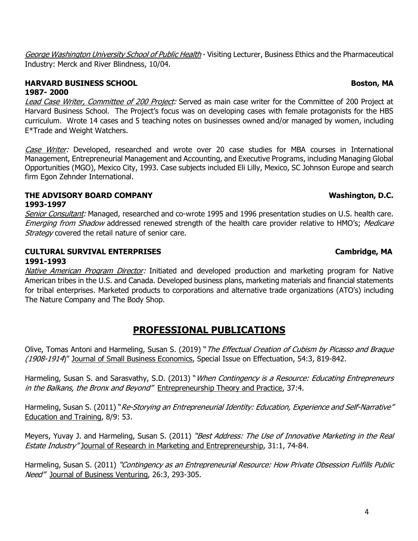George Washington University School of Public Health - Visiting Lecturer, Business Ethics and the Pharmaceutical Industry: Merck and River Blindness, 10/04.

## **HARVARD BUSINESS SCHOOL Boston, MA 1987- 2000**

Lead Case Writer, Committee of 200 Project: Served as main case writer for the Committee of 200 Project at Harvard Business School. The Project's focus was on developing cases with female protagonists for the HBS curriculum. Wrote 14 cases and 5 teaching notes on businesses owned and/or managed by women, including E\*Trade and Weight Watchers.

Case Writer: Developed, researched and wrote over 20 case studies for MBA courses in International Management, Entrepreneurial Management and Accounting, and Executive Programs, including Managing Global Opportunities (MGO), Mexico City, 1993. Case subjects included Eli Lilly, Mexico, SC Johnson Europe and search firm Egon Zehnder International.

## THE ADVISORY BOARD COMPANY **WASHINGTON COMPANY Washington, D.C. 1993-1997**

Senior Consultant: Managed, researched and co-wrote 1995 and 1996 presentation studies on U.S. health care. Emerging from Shadow addressed renewed strength of the health care provider relative to HMO's; Medicare Strategy covered the retail nature of senior care.

## **CULTURAL SURVIVAL ENTERPRISES Cambridge, MA 1991-1993**

Native American Program Director: Initiated and developed production and marketing program for Native American tribes in the U.S. and Canada. Developed business plans, marketing materials and financial statements for tribal enterprises. Marketed products to corporations and alternative trade organizations (ATO's) including The Nature Company and The Body Shop.

# **PROFESSIONAL PUBLICATIONS**

Olive, Tomas Antoni and Harmeling, Susan S. (2019) "The Effectual Creation of Cubism by Picasso and Braque (1908-1914)" Journal of Small Business Economics, Special Issue on Effectuation, 54:3, 819-842.

Harmeling, Susan S. and Sarasvathy, S.D. (2013) "When Contingency is a Resource: Educating Entrepreneurs in the Balkans, the Bronx and Beyond" Entrepreneurship Theory and Practice, 37:4.

Harmeling, Susan S. (2011) "Re-Storying an Entrepreneurial Identity: Education, Experience and Self-Narrative" Education and Training, 8/9: 53.

Meyers, Yuvay J. and Harmeling, Susan S. (2011) "Best Address: The Use of Innovative Marketing in the Real Estate Industry" Journal of Research in Marketing and Entrepreneurship, 31:1, 74-84.

Harmeling, Susan S. (2011) "Contingency as an Entrepreneurial Resource: How Private Obsession Fulfills Public Need" Journal of Business Venturing, 26:3, 293-305.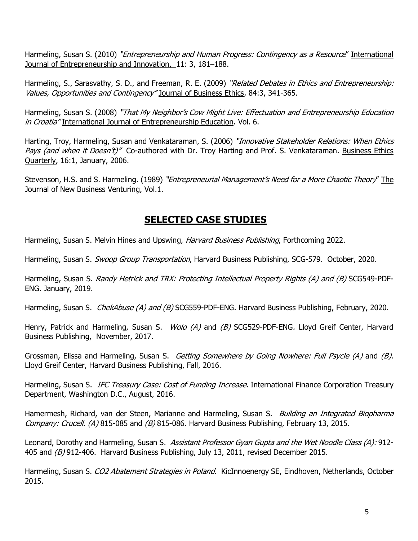Harmeling, Susan S. (2010) "*Entrepreneurship and Human Progress: Contingency as a Resource*" International Journal of Entrepreneurship and Innovation, 11: 3, 181–188.

Harmeling, S., Sarasvathy, S. D., and Freeman, R. E. (2009) "Related Debates in Ethics and Entrepreneurship: Values, Opportunities and Contingency" Journal of Business Ethics, 84:3, 341-365.

Harmeling, Susan S. (2008) "That My Neighbor's Cow Might Live: Effectuation and Entrepreneurship Education in Croatia" International Journal of Entrepreneurship Education. Vol. 6.

Harting, Troy, Harmeling, Susan and Venkataraman, S. (2006) "Innovative Stakeholder Relations: When Ethics Pays (and when it Doesn't)" Co-authored with Dr. Troy Harting and Prof. S. Venkataraman. Business Ethics Quarterly, 16:1, January, 2006.

Stevenson, H.S. and S. Harmeling. (1989) "Entrepreneurial Management's Need for a More Chaotic Theory" The Journal of New Business Venturing, Vol.1.

# **SELECTED CASE STUDIES**

Harmeling, Susan S. Melvin Hines and Upswing, Harvard Business Publishing, Forthcoming 2022.

Harmeling, Susan S. *Swoop Group Transportation*, Harvard Business Publishing, SCG-579. October, 2020.

Harmeling, Susan S. Randy Hetrick and TRX: Protecting Intellectual Property Rights (A) and (B) SCG549-PDF-ENG. January, 2019.

Harmeling, Susan S. *ChekAbuse (A) and (B)* SCG559-PDF-ENG. Harvard Business Publishing, February, 2020.

Henry, Patrick and Harmeling, Susan S. *Wolo (A)* and *(B)* SCG529-PDF-ENG. Lloyd Greif Center, Harvard Business Publishing, November, 2017.

Grossman, Elissa and Harmeling, Susan S. Getting Somewhere by Going Nowhere: Full Psycle (A) and (B). Lloyd Greif Center, Harvard Business Publishing, Fall, 2016.

Harmeling, Susan S. *IFC Treasury Case: Cost of Funding Increase*. International Finance Corporation Treasury Department, Washington D.C., August, 2016.

Hamermesh, Richard, van der Steen, Marianne and Harmeling, Susan S. *Building an Integrated Biopharma* Company: Crucell. (A) 815-085 and (B) 815-086. Harvard Business Publishing, February 13, 2015.

Leonard, Dorothy and Harmeling, Susan S. Assistant Professor Gyan Gupta and the Wet Noodle Class (A): 912-405 and (B) 912-406. Harvard Business Publishing, July 13, 2011, revised December 2015.

Harmeling, Susan S. CO2 Abatement Strategies in Poland. KicInnoenergy SE, Eindhoven, Netherlands, October 2015.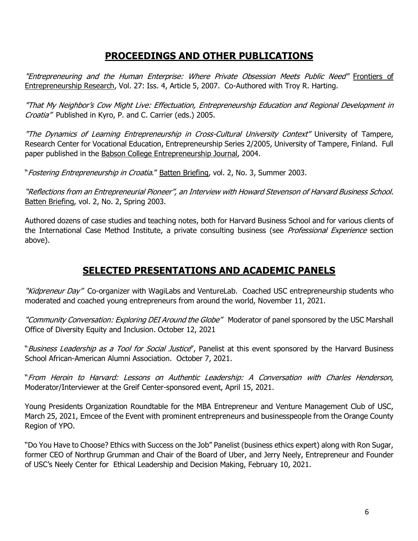# **PROCEEDINGS AND OTHER PUBLICATIONS**

"Entrepreneuring and the Human Enterprise: Where Private Obsession Meets Public Need" Frontiers of Entrepreneurship Research, Vol. 27: Iss. 4, Article 5, 2007. Co-Authored with Troy R. Harting.

"That My Neighbor's Cow Might Live: Effectuation, Entrepreneurship Education and Regional Development in Croatia" Published in Kyro, P. and C. Carrier (eds.) 2005.

"The Dynamics of Learning Entrepreneurship in Cross-Cultural University Context" University of Tampere, Research Center for Vocational Education, Entrepreneurship Series 2/2005, University of Tampere, Finland. Full paper published in the Babson College Entrepreneurship Journal, 2004.

"Fostering Entrepreneurship in Croatia." Batten Briefing, vol. 2, No. 3, Summer 2003.

"Reflections from an Entrepreneurial Pioneer", an Interview with Howard Stevenson of Harvard Business School. Batten Briefing, vol. 2, No. 2, Spring 2003.

Authored dozens of case studies and teaching notes, both for Harvard Business School and for various clients of the International Case Method Institute, a private consulting business (see *Professional Experience* section above).

# **SELECTED PRESENTATIONS AND ACADEMIC PANELS**

"Kidpreneur Day" Co-organizer with WagiLabs and VentureLab. Coached USC entrepreneurship students who moderated and coached young entrepreneurs from around the world, November 11, 2021.

"Community Conversation: Exploring DEI Around the Globe" Moderator of panel sponsored by the USC Marshall Office of Diversity Equity and Inclusion. October 12, 2021

"Business Leadership as a Tool for Social Justice", Panelist at this event sponsored by the Harvard Business School African-American Alumni Association. October 7, 2021.

"From Heroin to Harvard: Lessons on Authentic Leadership: A Conversation with Charles Henderson, Moderator/Interviewer at the Greif Center-sponsored event, April 15, 2021.

Young Presidents Organization Roundtable for the MBA Entrepreneur and Venture Management Club of USC, March 25, 2021, Emcee of the Event with prominent entrepreneurs and businesspeople from the Orange County Region of YPO.

"Do You Have to Choose? Ethics with Success on the Job" Panelist (business ethics expert) along with Ron Sugar, former CEO of Northrup Grumman and Chair of the Board of Uber, and Jerry Neely, Entrepreneur and Founder of USC's Neely Center for Ethical Leadership and Decision Making, February 10, 2021.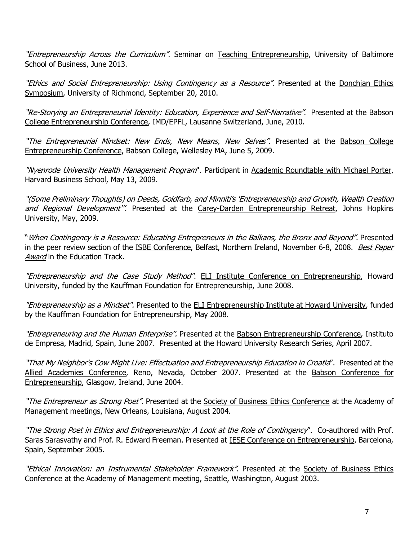"Entrepreneurship Across the Curriculum". Seminar on Teaching Entrepreneurship, University of Baltimore School of Business, June 2013.

"Ethics and Social Entrepreneurship: Using Contingency as a Resource". Presented at the Donchian Ethics Symposium, University of Richmond, September 20, 2010.

"Re-Storying an Entrepreneurial Identity: Education, Experience and Self-Narrative". Presented at the Babson College Entrepreneurship Conference, IMD/EPFL, Lausanne Switzerland, June, 2010.

"The Entrepreneurial Mindset: New Ends, New Means, New Selves". Presented at the Babson College Entrepreneurship Conference, Babson College, Wellesley MA, June 5, 2009.

"Nyenrode University Health Management Program". Participant in Academic Roundtable with Michael Porter, Harvard Business School, May 13, 2009.

"(Some Preliminary Thoughts) on Deeds, Goldfarb, and Minniti's 'Entrepreneurship and Growth, Wealth Creation and Regional Development". Presented at the Carey-Darden Entrepreneurship Retreat, Johns Hopkins University, May, 2009.

"When Contingency is a Resource: Educating Entrepreneurs in the Balkans, the Bronx and Beyond". Presented in the peer review section of the ISBE Conference, Belfast, Northern Ireland, November 6-8, 2008. Best Paper Award in the Education Track.

"Entrepreneurship and the Case Study Method". ELI Institute Conference on Entrepreneurship, Howard University, funded by the Kauffman Foundation for Entrepreneurship, June 2008.

"Entrepreneurship as a Mindset". Presented to the ELI Entrepreneurship Institute at Howard University, funded by the Kauffman Foundation for Entrepreneurship, May 2008.

"Entrepreneuring and the Human Enterprise". Presented at the Babson Entrepreneurship Conference, Instituto de Empresa, Madrid, Spain, June 2007. Presented at the Howard University Research Series, April 2007.

"That My Neighbor's Cow Might Live: Effectuation and Entrepreneurship Education in Croatia". Presented at the Allied Academies Conference, Reno, Nevada, October 2007. Presented at the Babson Conference for Entrepreneurship, Glasgow, Ireland, June 2004.

"The Entrepreneur as Strong Poet". Presented at the Society of Business Ethics Conference at the Academy of Management meetings, New Orleans, Louisiana, August 2004.

"The Strong Poet in Ethics and Entrepreneurship: A Look at the Role of Contingency". Co-authored with Prof. Saras Sarasvathy and Prof. R. Edward Freeman. Presented at IESE Conference on Entrepreneurship, Barcelona, Spain, September 2005.

"*Ethical Innovation: an Instrumental Stakeholder Framework"*. Presented at the Society of Business Ethics Conference at the Academy of Management meeting, Seattle, Washington, August 2003.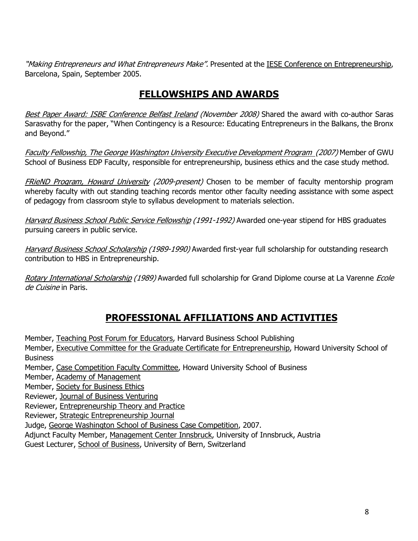"*Making Entrepreneurs and What Entrepreneurs Make".* Presented at the IESE Conference on Entrepreneurship, Barcelona, Spain, September 2005.

# **FELLOWSHIPS AND AWARDS**

Best Paper Award: ISBE Conference Belfast Ireland (November 2008) Shared the award with co-author Saras Sarasvathy for the paper, "When Contingency is a Resource: Educating Entrepreneurs in the Balkans, the Bronx and Beyond."

Faculty Fellowship, The George Washington University Executive Development Program (2007) Member of GWU School of Business EDP Faculty, responsible for entrepreneurship, business ethics and the case study method.

FRieND Program, Howard University (2009-present) Chosen to be member of faculty mentorship program whereby faculty with out standing teaching records mentor other faculty needing assistance with some aspect of pedagogy from classroom style to syllabus development to materials selection.

Harvard Business School Public Service Fellowship (1991-1992) Awarded one-year stipend for HBS graduates pursuing careers in public service.

Harvard Business School Scholarship (1989-1990) Awarded first-year full scholarship for outstanding research contribution to HBS in Entrepreneurship.

Rotary International Scholarship (1989) Awarded full scholarship for Grand Diplome course at La Varenne Ecole de Cuisine in Paris.

# **PROFESSIONAL AFFILIATIONS AND ACTIVITIES**

Member, Teaching Post Forum for Educators, Harvard Business School Publishing

Member, Executive Committee for the Graduate Certificate for Entrepreneurship, Howard University School of **Business** 

Member, Case Competition Faculty Committee, Howard University School of Business

Member, Academy of Management

Member, Society for Business Ethics

Reviewer, Journal of Business Venturing

Reviewer, Entrepreneurship Theory and Practice

Reviewer, Strategic Entrepreneurship Journal

Judge, George Washington School of Business Case Competition, 2007.

Adjunct Faculty Member, Management Center Innsbruck, University of Innsbruck, Austria

Guest Lecturer, School of Business, University of Bern, Switzerland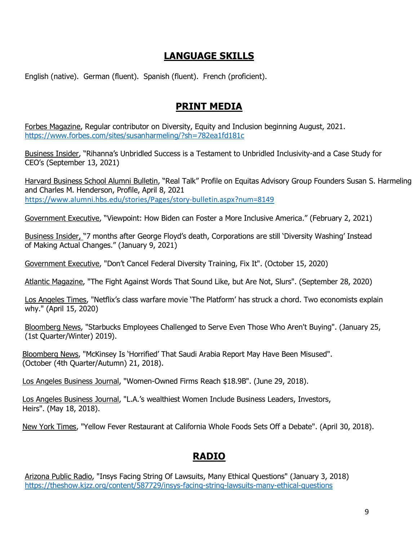# **LANGUAGE SKILLS**

English (native). German (fluent). Spanish (fluent). French (proficient).

# **PRINT MEDIA**

Forbes Magazine, Regular contributor on Diversity, Equity and Inclusion beginning August, 2021. https://www.forbes.com/sites/susanharmeling/?sh=782ea1fd181c

Business Insider, "Rihanna's Unbridled Success is a Testament to Unbridled Inclusivity-and a Case Study for CEO's (September 13, 2021)

Harvard Business School Alumni Bulletin, "Real Talk" Profile on Equitas Advisory Group Founders Susan S. Harmeling and Charles M. Henderson, Profile, April 8, 2021 https://www.alumni.hbs.edu/stories/Pages/story-bulletin.aspx?num=8149

Government Executive, "Viewpoint: How Biden can Foster a More Inclusive America." (February 2, 2021)

Business Insider, "7 months after George Floyd's death, Corporations are still 'Diversity Washing' Instead of Making Actual Changes." (January 9, 2021)

Government Executive, "Don't Cancel Federal Diversity Training, Fix It". (October 15, 2020)

Atlantic Magazine, "The Fight Against Words That Sound Like, but Are Not, Slurs". (September 28, 2020)

Los Angeles Times, "Netflix's class warfare movie 'The Platform' has struck a chord. Two economists explain why." (April 15, 2020)

Bloomberg News, "Starbucks Employees Challenged to Serve Even Those Who Aren't Buying". (January 25, (1st Quarter/Winter) 2019).

Bloomberg News, "McKinsey Is 'Horrified' That Saudi Arabia Report May Have Been Misused". (October (4th Quarter/Autumn) 21, 2018).

Los Angeles Business Journal, "Women-Owned Firms Reach \$18.9B". (June 29, 2018).

Los Angeles Business Journal, "L.A.'s wealthiest Women Include Business Leaders, Investors, Heirs". (May 18, 2018).

New York Times, "Yellow Fever Restaurant at California Whole Foods Sets Off a Debate". (April 30, 2018).

## **RADIO**

Arizona Public Radio, "Insys Facing String Of Lawsuits, Many Ethical Questions" (January 3, 2018) https://theshow.kjzz.org/content/587729/insys-facing-string-lawsuits-many-ethical-questions